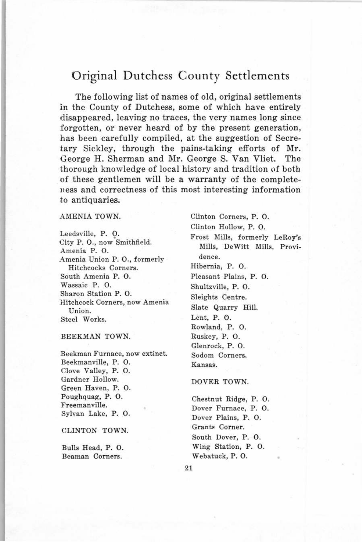# Original Dutchess County Settlements

The following list of names of old, original settlements in the County of Dutchess, some of which have entirely disappeared, leaving no traces, the very names long since forgotten, or never heard of by the present generation, has been carefully compiled, at the suggestion of Secretary Sickley, through the pains-taking efforts of Mr. Ceorge H. Sherman and Mr. George S. Van Vliet. The thorough knowledge of local history and tradition of both of these gentlemen will be a warranty of the completeness and correctness of this most interesting information to antiquaries,

# AMENIA TOWN.

Leedsville, P. O. City P. 0., now Smithfield. Amenia P. 0. Amenia Union P. 0., formerly Hitchcocks Corners. South Amenia P. 0. Wassaic P. 0. Sharon Station P. 0. Hitchcock Corners, now Amenia Union. Steel Works.

### BEEKMAN TOWN.

Beekman Furnace, now extinct. Beekmanville, P. 0. Clove Valley, P. 0. Gardner Hollow. Green Haven, P. 0. Poughquag, P. 0. Freemanville. Sylvan Lake, P. 0.

CLINTON TOWN.

Bulls Head, P. 0. Beaman Corners.

Clinton Corners, P. 0. Clinton Hollow, P. 0. Frost Mills, formerly LeRoy's Mills, DeWitt Mills, Providence. Hibernia, P. 0. Pleasant Plains, P. 0. Shultzville, P. 0. Sleights Centre. Slate Quarry Hill. Lent, P. 0. Rowland, P. 0. Ruskey, P. 0. Glenrock, P. 0. Sodom Corners. Kansas.

# DOVER TOWN.

Chestnut Ridge, P. 0. Dover Furnace, P. 0. Dover Plains, P. 0. Grants Corner. South Dover, P. 0. Wing Station, P. 0. Webatuck, P. 0.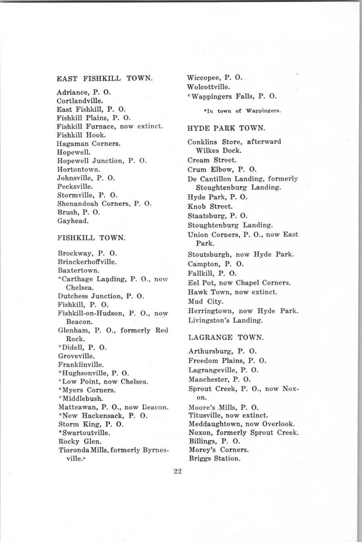# EAST FISHKILL TOWN.

Adriance, P. 0. Cortlandville. East Fishkill, P. 0. Fishkill Plains, P. 0. Fishkill Furnace, now extinct. Fishkill Hook. Hagaman Corners. Hopewell. Hopewell Junction, P. 0. Hortontown. Johnsville, P. 0. Pecksville. Stormville, P. 0. Shenandoah Corners, P. 0. Brush, P. 0. Gayhead.

# FISHKILL TOWN.

Brockway, P. 0. Brinckerhoffville. Baxtertown. \*Carthage Lavding, P. 0., now Chelsea. Dutchess Junction, P. 0. Fishkill, P. 0. Fishkill-on-Hudson, P. 0., now Beacon. Glenham, P. 0., formerly Red Rock. \*Didell, P. 0. Groveville. Franklinville. \*Hughsonville, P. 0. Low Point, now Chelsea. \*Myers Corners. \*Middlebush. Matteawan, P. 0., now Deacon. \*New Hackensack, P. 0. Storm King, P. 0. \*Swartoutville. Rocky Glen. Tioronda Mills, formerly Byrnesville.<sup>\*</sup>

Wiccopee, P. 0. Wolcottville. \*Wappingers Falls, P. 0. \*In town of Wappingers.

#### HYDE PARK TOWN.

Conklins Store, afterward Wilkes Dock. Cream Street. Crum Elbow, P. 0. De Cantillon Landing, formerly Stoughtenburg Landing. Hyde Park, P. 0. Knob Street. Staatsburg, P. 0. Stoughtenburg Landing. Union Corners, P. 0., now East Park. Stoutsburgh, now Hyde Park. Campton, P. 0. Fallkill, P. 0. Eel Pot, now Chapel Corners. Hawk Town, now extinct. Mud City. Herringtown, now Hyde Park. Livingston's Landing. LAGRANGE TOWN. Arthursburg, P. 0. Freedom Plains, P. 0. Lagrangeville, P. 0. Manchester, P. 0. Sprout Creek, P. 0., now Nox-

22

on.

Moore's Mills, P. 0. Titusville, now extinct. Meddaughtown, now Overlook. Noxon, formerly Sprout Creek.

Billings, P. 0. Morey's Corners. Briggs Station.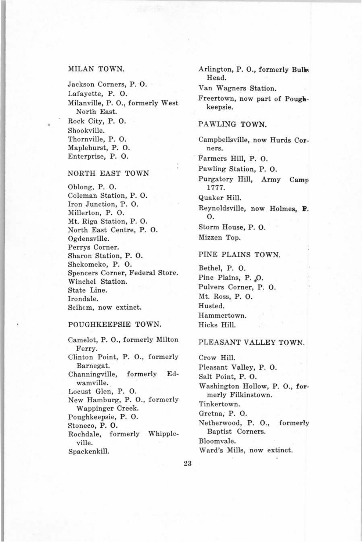# MILAN TOWN.

Jackson Corners, P. 0. Lafayette, P. 0. Milanville, P. 0., formerly West North East. Rock City, P. 0. Shookville. Thornville, P. 0. Maplehurst, P. 0. Enterprise, P. 0.

#### NORTH EAST TOWN

Oblong, P. 0. Coleman Station, P. 0. Iron Junction, P. 0. Millerton, P. 0. Mt. Riga Station, P. 0. North East Centre, P. 0. Ogdensville. Perrys Corner. Sharon Station, P. 0. Shekomeko, P. 0. Spencers Corner, Federal Store. Winchel Station. State Line. Irondale.  $Schem$ , now extinct.

# POUGHKEEPSIE TOWN.

Camelot, P. 0., formerly Milton Ferry. Clinton Point, P. 0., formerly Barnegat. Channingville, formerly Edwamville. Locust Glen, P. 0. New Hamburg, P. 0., formerly Wappinger Creek. Poughkeepsie, P. 0. Stoneco, P. 0. Rochdale, formerly Whippleville. Spackenkill.

Arlington, P. 0., formerly Bulk Head.

Van Wagners Station.

Freertown, now part of Poughkeepsie.

#### PAWLING TOWN.

Campbellsville, now Hurds Corners.

Farmers Hill, P. 0.

Pawling Station, P. 0.

Purgatory Hill, Army Camp 1777.

Quaker Hill.

Reynoldsville, now Holmes, P. 0. Storm House, P. 0.

Mizzen Top.

#### PINE PLAINS TOWN.

Bethel, P. 0. Pine Plains, P. O. Pulvers Corner, P. 0. Mt. Ross, P. 0. Husted. Hammertown. Hicks Hill.

#### PLEASANT VALLEY TOWN.

Crow Hill. Pleasant Valley, P. 0. Salt Point, P. 0. Washington Hollow, P. 0., formerly Filkinstown. Tinkertown. Gretna, P. 0. Netherwood, P. 0., formerly Baptist Corners. Bloomvale. Ward's Mills, now extinct.